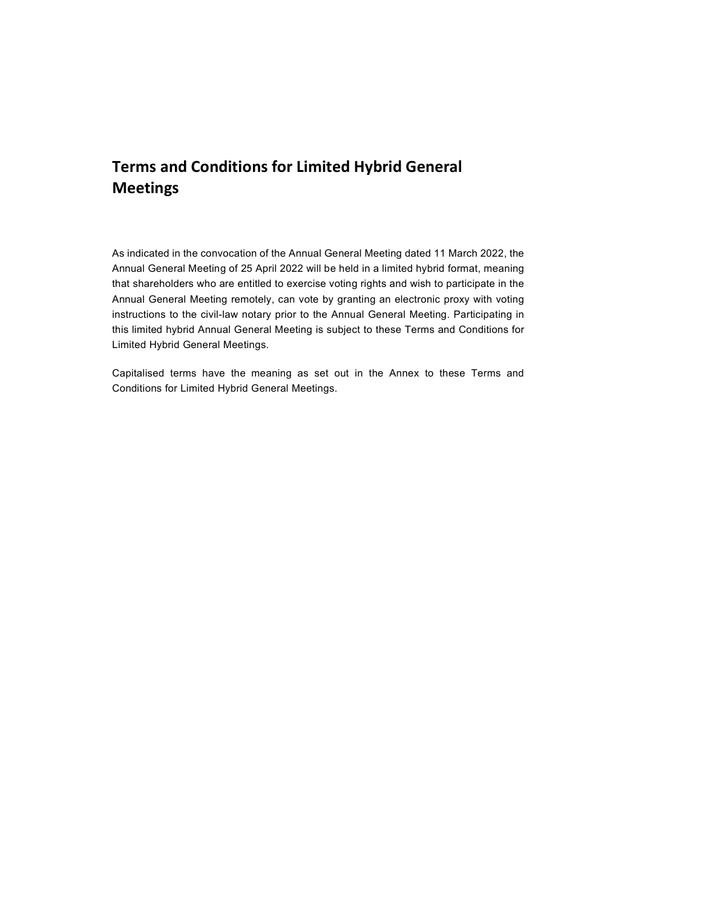# Terms and Conditions for Limited Hybrid General Meetings

As indicated in the convocation of the Annual General Meeting dated 11 March 2022, the Annual General Meeting of 25 April 2022 will be held in a limited hybrid format, meaning that shareholders who are entitled to exercise voting rights and wish to participate in the Annual General Meeting remotely, can vote by granting an electronic proxy with voting instructions to the civil-law notary prior to the Annual General Meeting. Participating in this limited hybrid Annual General Meeting is subject to these Terms and Conditions for Limited Hybrid General Meetings.

Capitalised terms have the meaning as set out in the Annex to these Terms and Conditions for Limited Hybrid General Meetings.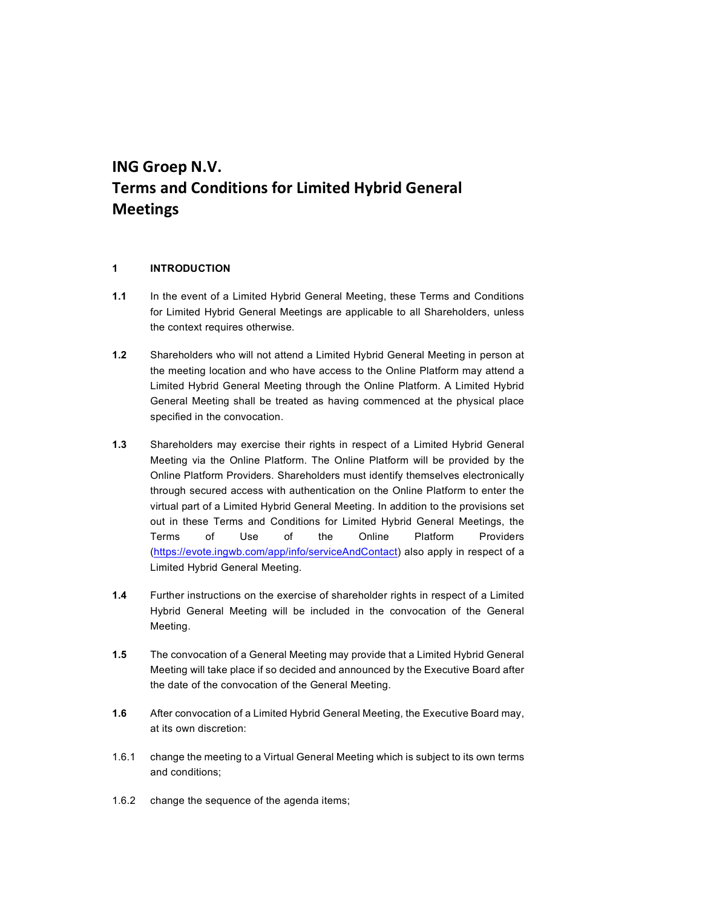# ING Groep N.V. Terms and Conditions for Limited Hybrid General Meetings

### 1 INTRODUCTION

- 1.1 In the event of a Limited Hybrid General Meeting, these Terms and Conditions for Limited Hybrid General Meetings are applicable to all Shareholders, unless the context requires otherwise.
- 1.2 Shareholders who will not attend a Limited Hybrid General Meeting in person at the meeting location and who have access to the Online Platform may attend a Limited Hybrid General Meeting through the Online Platform. A Limited Hybrid General Meeting shall be treated as having commenced at the physical place specified in the convocation.
- 1.3 Shareholders may exercise their rights in respect of a Limited Hybrid General Meeting via the Online Platform. The Online Platform will be provided by the Online Platform Providers. Shareholders must identify themselves electronically through secured access with authentication on the Online Platform to enter the virtual part of a Limited Hybrid General Meeting. In addition to the provisions set out in these Terms and Conditions for Limited Hybrid General Meetings, the Terms of Use of the Online Platform Providers (https://evote.ingwb.com/app/info/serviceAndContact) also apply in respect of a Limited Hybrid General Meeting.
- 1.4 Further instructions on the exercise of shareholder rights in respect of a Limited Hybrid General Meeting will be included in the convocation of the General Meeting.
- 1.5 The convocation of a General Meeting may provide that a Limited Hybrid General Meeting will take place if so decided and announced by the Executive Board after the date of the convocation of the General Meeting.
- 1.6 After convocation of a Limited Hybrid General Meeting, the Executive Board may, at its own discretion:
- 1.6.1 change the meeting to a Virtual General Meeting which is subject to its own terms and conditions;
- 1.6.2 change the sequence of the agenda items;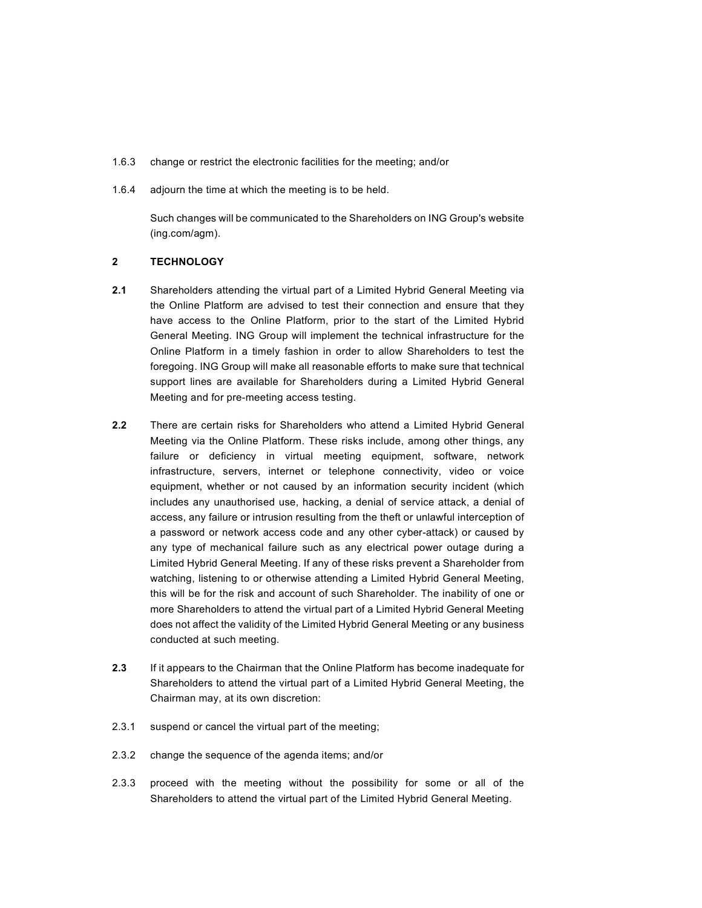- 1.6.3 change or restrict the electronic facilities for the meeting; and/or
- 1.6.4 adjourn the time at which the meeting is to be held.

Such changes will be communicated to the Shareholders on ING Group's website (ing.com/agm).

#### 2 TECHNOLOGY

- 2.1 Shareholders attending the virtual part of a Limited Hybrid General Meeting via the Online Platform are advised to test their connection and ensure that they have access to the Online Platform, prior to the start of the Limited Hybrid General Meeting. ING Group will implement the technical infrastructure for the Online Platform in a timely fashion in order to allow Shareholders to test the foregoing. ING Group will make all reasonable efforts to make sure that technical support lines are available for Shareholders during a Limited Hybrid General Meeting and for pre-meeting access testing.
- 2.2 There are certain risks for Shareholders who attend a Limited Hybrid General Meeting via the Online Platform. These risks include, among other things, any failure or deficiency in virtual meeting equipment, software, network infrastructure, servers, internet or telephone connectivity, video or voice equipment, whether or not caused by an information security incident (which includes any unauthorised use, hacking, a denial of service attack, a denial of access, any failure or intrusion resulting from the theft or unlawful interception of a password or network access code and any other cyber-attack) or caused by any type of mechanical failure such as any electrical power outage during a Limited Hybrid General Meeting. If any of these risks prevent a Shareholder from watching, listening to or otherwise attending a Limited Hybrid General Meeting, this will be for the risk and account of such Shareholder. The inability of one or more Shareholders to attend the virtual part of a Limited Hybrid General Meeting does not affect the validity of the Limited Hybrid General Meeting or any business conducted at such meeting.
- 2.3 If it appears to the Chairman that the Online Platform has become inadequate for Shareholders to attend the virtual part of a Limited Hybrid General Meeting, the Chairman may, at its own discretion:
- 2.3.1 suspend or cancel the virtual part of the meeting;
- 2.3.2 change the sequence of the agenda items; and/or
- 2.3.3 proceed with the meeting without the possibility for some or all of the Shareholders to attend the virtual part of the Limited Hybrid General Meeting.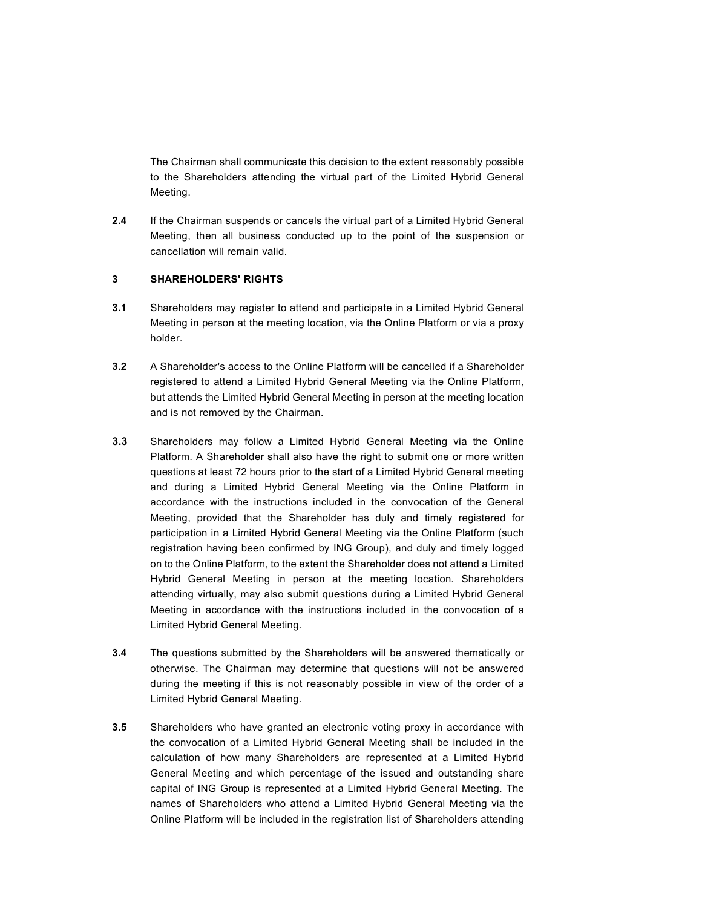The Chairman shall communicate this decision to the extent reasonably possible to the Shareholders attending the virtual part of the Limited Hybrid General Meeting.

2.4 If the Chairman suspends or cancels the virtual part of a Limited Hybrid General Meeting, then all business conducted up to the point of the suspension or cancellation will remain valid.

#### 3 SHAREHOLDERS' RIGHTS

- 3.1 Shareholders may register to attend and participate in a Limited Hybrid General Meeting in person at the meeting location, via the Online Platform or via a proxy holder.
- 3.2 A Shareholder's access to the Online Platform will be cancelled if a Shareholder registered to attend a Limited Hybrid General Meeting via the Online Platform, but attends the Limited Hybrid General Meeting in person at the meeting location and is not removed by the Chairman.
- 3.3 Shareholders may follow a Limited Hybrid General Meeting via the Online Platform. A Shareholder shall also have the right to submit one or more written questions at least 72 hours prior to the start of a Limited Hybrid General meeting and during a Limited Hybrid General Meeting via the Online Platform in accordance with the instructions included in the convocation of the General Meeting, provided that the Shareholder has duly and timely registered for participation in a Limited Hybrid General Meeting via the Online Platform (such registration having been confirmed by ING Group), and duly and timely logged on to the Online Platform, to the extent the Shareholder does not attend a Limited Hybrid General Meeting in person at the meeting location. Shareholders attending virtually, may also submit questions during a Limited Hybrid General Meeting in accordance with the instructions included in the convocation of a Limited Hybrid General Meeting.
- 3.4 The questions submitted by the Shareholders will be answered thematically or otherwise. The Chairman may determine that questions will not be answered during the meeting if this is not reasonably possible in view of the order of a Limited Hybrid General Meeting.
- **3.5** Shareholders who have granted an electronic voting proxy in accordance with the convocation of a Limited Hybrid General Meeting shall be included in the calculation of how many Shareholders are represented at a Limited Hybrid General Meeting and which percentage of the issued and outstanding share capital of ING Group is represented at a Limited Hybrid General Meeting. The names of Shareholders who attend a Limited Hybrid General Meeting via the Online Platform will be included in the registration list of Shareholders attending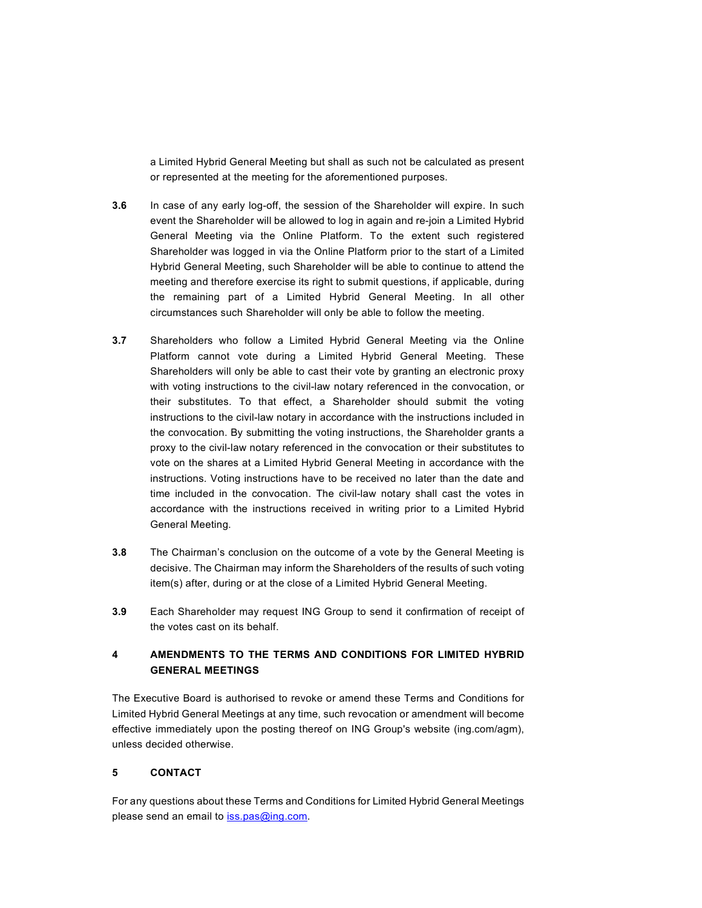a Limited Hybrid General Meeting but shall as such not be calculated as present or represented at the meeting for the aforementioned purposes.

- 3.6 In case of any early log-off, the session of the Shareholder will expire. In such event the Shareholder will be allowed to log in again and re-join a Limited Hybrid General Meeting via the Online Platform. To the extent such registered Shareholder was logged in via the Online Platform prior to the start of a Limited Hybrid General Meeting, such Shareholder will be able to continue to attend the meeting and therefore exercise its right to submit questions, if applicable, during the remaining part of a Limited Hybrid General Meeting. In all other circumstances such Shareholder will only be able to follow the meeting.
- 3.7 Shareholders who follow a Limited Hybrid General Meeting via the Online Platform cannot vote during a Limited Hybrid General Meeting. These Shareholders will only be able to cast their vote by granting an electronic proxy with voting instructions to the civil-law notary referenced in the convocation, or their substitutes. To that effect, a Shareholder should submit the voting instructions to the civil-law notary in accordance with the instructions included in the convocation. By submitting the voting instructions, the Shareholder grants a proxy to the civil-law notary referenced in the convocation or their substitutes to vote on the shares at a Limited Hybrid General Meeting in accordance with the instructions. Voting instructions have to be received no later than the date and time included in the convocation. The civil-law notary shall cast the votes in accordance with the instructions received in writing prior to a Limited Hybrid General Meeting.
- 3.8 The Chairman's conclusion on the outcome of a vote by the General Meeting is decisive. The Chairman may inform the Shareholders of the results of such voting item(s) after, during or at the close of a Limited Hybrid General Meeting.
- 3.9 Each Shareholder may request ING Group to send it confirmation of receipt of the votes cast on its behalf.

# 4 AMENDMENTS TO THE TERMS AND CONDITIONS FOR LIMITED HYBRID GENERAL MEETINGS

The Executive Board is authorised to revoke or amend these Terms and Conditions for Limited Hybrid General Meetings at any time, such revocation or amendment will become effective immediately upon the posting thereof on ING Group's website (ing.com/agm), unless decided otherwise.

### 5 CONTACT

For any questions about these Terms and Conditions for Limited Hybrid General Meetings please send an email to iss.pas@ing.com.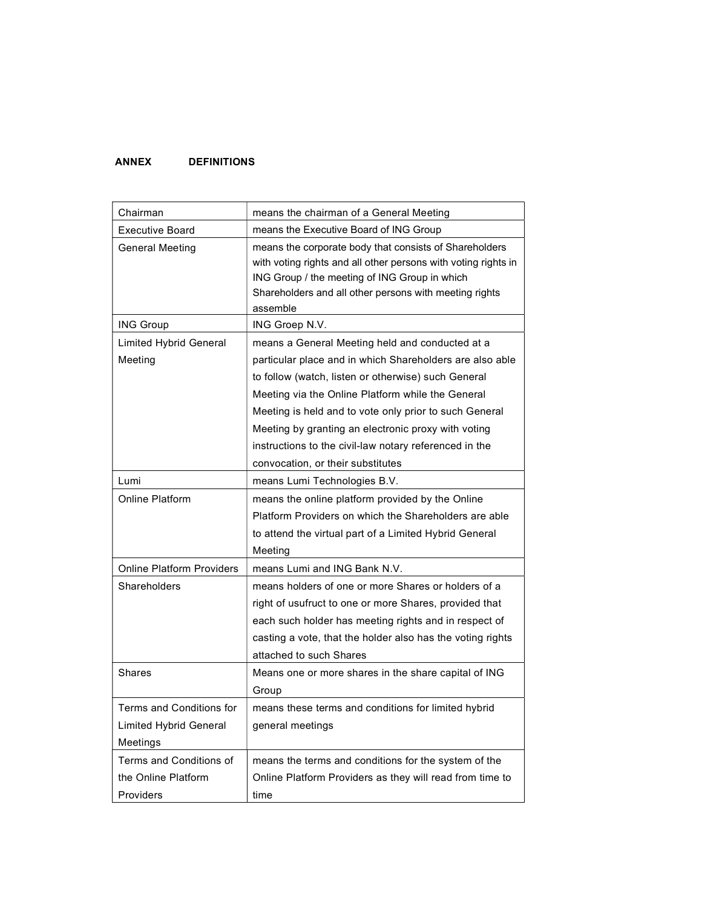## ANNEX DEFINITIONS

| Chairman                         | means the chairman of a General Meeting                                                                                                                                                                                                         |
|----------------------------------|-------------------------------------------------------------------------------------------------------------------------------------------------------------------------------------------------------------------------------------------------|
| <b>Executive Board</b>           | means the Executive Board of ING Group                                                                                                                                                                                                          |
| <b>General Meeting</b>           | means the corporate body that consists of Shareholders<br>with voting rights and all other persons with voting rights in<br>ING Group / the meeting of ING Group in which<br>Shareholders and all other persons with meeting rights<br>assemble |
| <b>ING Group</b>                 | ING Groep N.V.                                                                                                                                                                                                                                  |
| <b>Limited Hybrid General</b>    | means a General Meeting held and conducted at a                                                                                                                                                                                                 |
| Meeting                          | particular place and in which Shareholders are also able                                                                                                                                                                                        |
|                                  | to follow (watch, listen or otherwise) such General                                                                                                                                                                                             |
|                                  | Meeting via the Online Platform while the General                                                                                                                                                                                               |
|                                  | Meeting is held and to vote only prior to such General                                                                                                                                                                                          |
|                                  | Meeting by granting an electronic proxy with voting                                                                                                                                                                                             |
|                                  | instructions to the civil-law notary referenced in the                                                                                                                                                                                          |
|                                  | convocation, or their substitutes                                                                                                                                                                                                               |
| Lumi                             | means Lumi Technologies B.V.                                                                                                                                                                                                                    |
| Online Platform                  | means the online platform provided by the Online                                                                                                                                                                                                |
|                                  | Platform Providers on which the Shareholders are able                                                                                                                                                                                           |
|                                  | to attend the virtual part of a Limited Hybrid General                                                                                                                                                                                          |
|                                  | Meeting                                                                                                                                                                                                                                         |
| <b>Online Platform Providers</b> | means Lumi and ING Bank N.V.                                                                                                                                                                                                                    |
| Shareholders                     | means holders of one or more Shares or holders of a                                                                                                                                                                                             |
|                                  | right of usufruct to one or more Shares, provided that                                                                                                                                                                                          |
|                                  | each such holder has meeting rights and in respect of                                                                                                                                                                                           |
|                                  | casting a vote, that the holder also has the voting rights                                                                                                                                                                                      |
|                                  | attached to such Shares                                                                                                                                                                                                                         |
| <b>Shares</b>                    | Means one or more shares in the share capital of ING                                                                                                                                                                                            |
|                                  | Group                                                                                                                                                                                                                                           |
| Terms and Conditions for         | means these terms and conditions for limited hybrid                                                                                                                                                                                             |
| <b>Limited Hybrid General</b>    | general meetings                                                                                                                                                                                                                                |
| Meetings                         |                                                                                                                                                                                                                                                 |
| Terms and Conditions of          | means the terms and conditions for the system of the                                                                                                                                                                                            |
| the Online Platform              | Online Platform Providers as they will read from time to                                                                                                                                                                                        |
| Providers                        | time                                                                                                                                                                                                                                            |